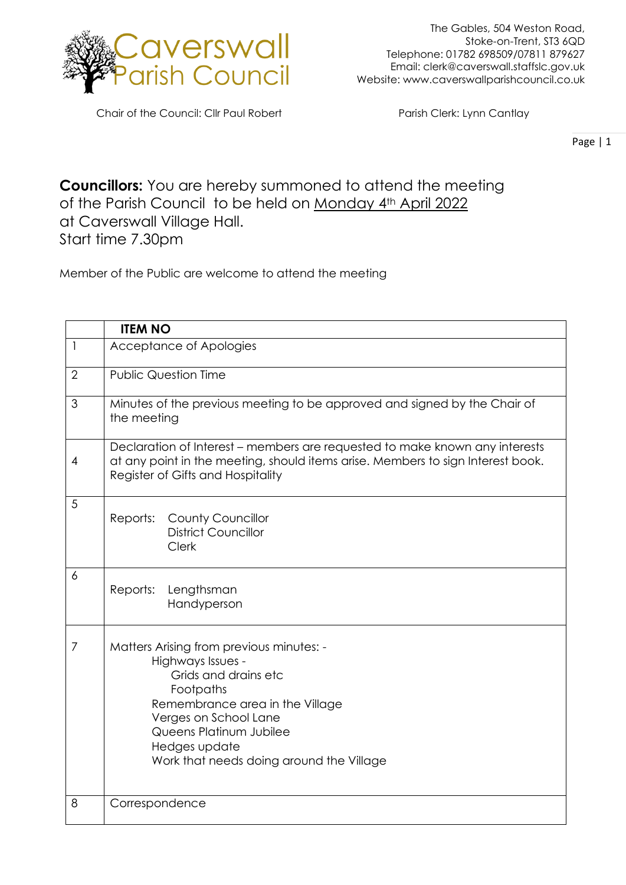

The Gables, 504 Weston Road, Stoke-on-Trent, ST3 6QD Telephone: 01782 698509/07811 879627 Email: clerk@caverswall.staffslc.gov.uk Website: [www.c](http://www.dilhorneparishcouncil.co.uk/)averswallparishcouncil.co.uk

Chair of the Council: Cllr Paul Robert Parish Clerk: Lynn Cantlay

Page | 1

**Councillors:** You are hereby summoned to attend the meeting of the Parish Council to be held on Monday 4th April 2022 at Caverswall Village Hall. Start time 7.30pm

Member of the Public are welcome to attend the meeting

|                | <b>ITEM NO</b>                                                                                                                                                                                                                                         |
|----------------|--------------------------------------------------------------------------------------------------------------------------------------------------------------------------------------------------------------------------------------------------------|
| $\mathbf{1}$   | Acceptance of Apologies                                                                                                                                                                                                                                |
| $\overline{2}$ | <b>Public Question Time</b>                                                                                                                                                                                                                            |
| 3              | Minutes of the previous meeting to be approved and signed by the Chair of<br>the meeting                                                                                                                                                               |
| $\overline{4}$ | Declaration of Interest – members are requested to make known any interests<br>at any point in the meeting, should items arise. Members to sign Interest book.<br>Register of Gifts and Hospitality                                                    |
| 5              | Reports: County Councillor<br><b>District Councillor</b><br><b>Clerk</b>                                                                                                                                                                               |
| 6              | Reports:<br>Lengthsman<br>Handyperson                                                                                                                                                                                                                  |
| 7              | Matters Arising from previous minutes: -<br>Highways Issues -<br>Grids and drains etc<br>Footpaths<br>Remembrance area in the Village<br>Verges on School Lane<br>Queens Platinum Jubilee<br>Hedges update<br>Work that needs doing around the Village |
| 8              | Correspondence                                                                                                                                                                                                                                         |